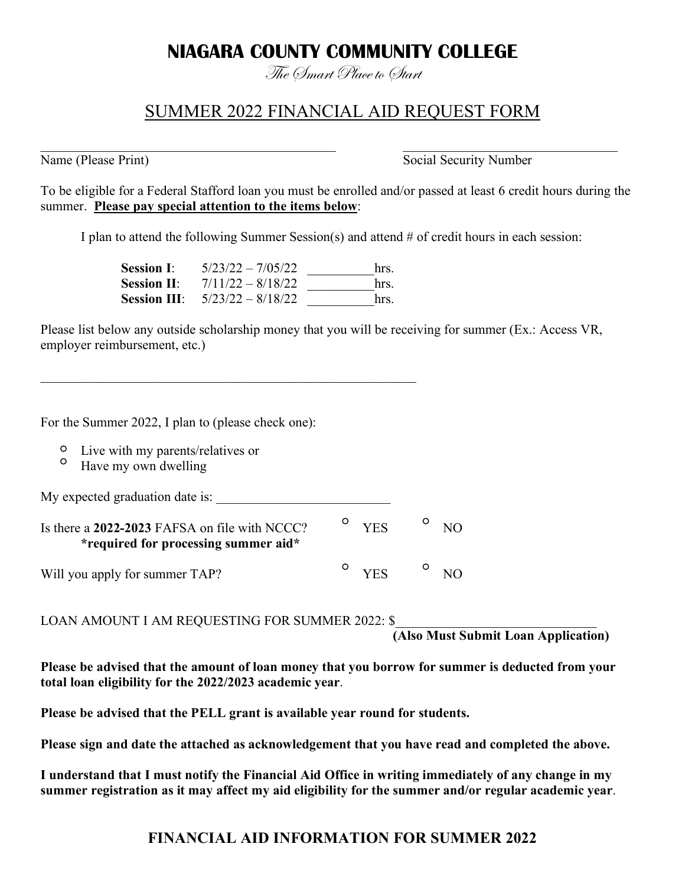# **NIAGARA COUNTY COMMUNITY COLLEGE**

The Smart Place to Start

# SUMMER 2022 FINANCIAL AID REQUEST FORM

Name (Please Print) Social Security Number

To be eligible for a Federal Stafford loan you must be enrolled and/or passed at least 6 credit hours during the summer. **Please pay special attention to the items below**:

 $\_$  , and the contribution of the contribution of  $\mathcal{L}_\mathcal{A}$  , and the contribution of  $\mathcal{L}_\mathcal{A}$  , and the contribution of  $\mathcal{L}_\mathcal{A}$ 

I plan to attend the following Summer Session(s) and attend # of credit hours in each session:

| <b>Session I:</b>  | $5/23/22 - 7/05/22$                     | hrs. |
|--------------------|-----------------------------------------|------|
| <b>Session II:</b> | $7/11/22 - 8/18/22$                     | hrs. |
|                    | <b>Session III:</b> $5/23/22 - 8/18/22$ | hrs  |

Please list below any outside scholarship money that you will be receiving for summer (Ex.: Access VR, employer reimbursement, etc.)

For the Summer 2022, I plan to (please check one):

- Live with my parents/relatives or
- $\circ$ Have my own dwelling

My expected graduation date is: \_\_\_\_\_\_\_\_\_\_\_\_\_\_\_\_\_\_\_\_\_\_\_\_\_\_

 $\mathcal{L}_\text{max}$  and the contract of the contract of the contract of the contract of the contract of the contract of the contract of the contract of the contract of the contract of the contract of the contract of the contrac

| Is there a 2022-2023 FAFSA on file with NCCC?<br><i>*required for processing summer aid*</i> |  | $\overline{P}$ $VES$ | NO  |
|----------------------------------------------------------------------------------------------|--|----------------------|-----|
| Will you apply for summer TAP?                                                               |  | $\circ$ YES $\circ$  | N() |

LOAN AMOUNT I AM REQUESTING FOR SUMMER 2022: \$

**(Also Must Submit Loan Application)**

**Please be advised that the amount of loan money that you borrow for summer is deducted from your total loan eligibility for the 2022/2023 academic year**.

**Please be advised that the PELL grant is available year round for students.** 

**Please sign and date the attached as acknowledgement that you have read and completed the above.**

**I understand that I must notify the Financial Aid Office in writing immediately of any change in my summer registration as it may affect my aid eligibility for the summer and/or regular academic year**.